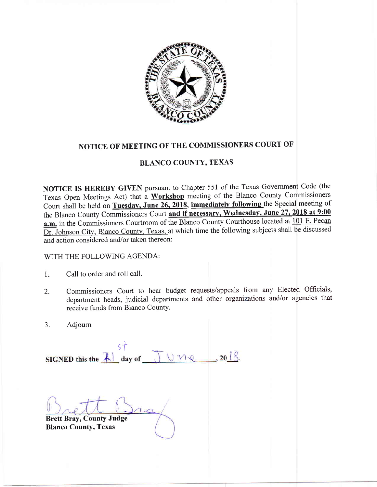

## NOTICE OF MEETING OF THE COMMISSIONERS COURT OF

## BLANCO COUNTY, TEXAS

NOTICE IS HEREBY GIVEN pursuant to Chapter 551 of the Texas Government Code (the Texas Open Meetings Act) that a Workshop meeting of the Blanco County Commissioners Court shall be held on Tuesday, June 26, 2018, immediately following the Special meeting of the Blanco County Commissioners Court and if necessary, Wednesday, June 27, 2018 at 9:00 a.m. in the Commissioners Courtroom of the Blanco County Courthouse located at 101 E. Pecan and action considered and/or taken thereon Dr, Johnson City, Blanco County, Texas, at which time the following subjects shall be discussed

## WITH THE FOLLOWING AGENDA:

- 1. Call to order and roll call.
- Commissioners Court to hear budget requests/appeals from any Elected Officials department heads, judicial departments and other organizations and/or agencies that receive funds from Blanco County. 2.
- Adjourn 3.

S<sup>†</sup><br>SIGNED this the <u>Let</u> day of  $\bigcup_{x \in \mathbb{R}} \bigcup_{x \in \mathbb{R}} \mathbb{R}$ . 20<u>18</u>.

Brett Bray, County Judge Blanco County, Texas